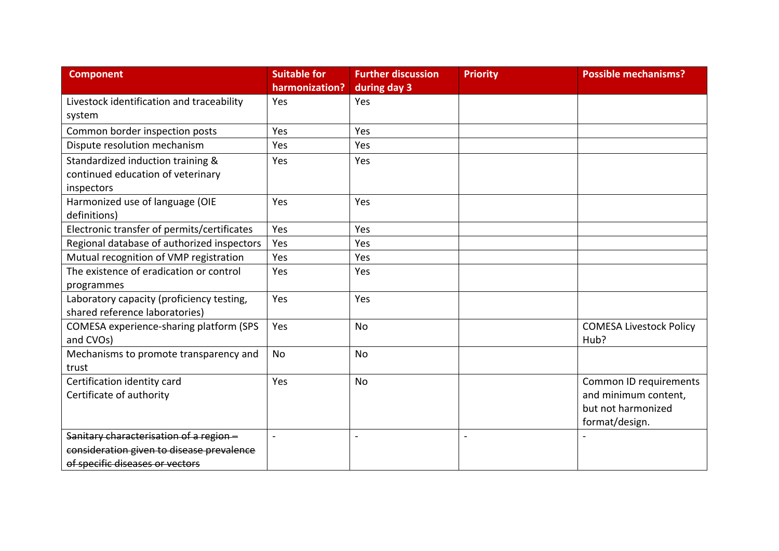| <b>Component</b>                                                                                                       | <b>Suitable for</b><br>harmonization? | <b>Further discussion</b><br>during day 3 | <b>Priority</b>          | <b>Possible mechanisms?</b>                                                            |
|------------------------------------------------------------------------------------------------------------------------|---------------------------------------|-------------------------------------------|--------------------------|----------------------------------------------------------------------------------------|
| Livestock identification and traceability<br>system                                                                    | Yes                                   | Yes                                       |                          |                                                                                        |
| Common border inspection posts                                                                                         | Yes                                   | Yes                                       |                          |                                                                                        |
| Dispute resolution mechanism                                                                                           | Yes                                   | Yes                                       |                          |                                                                                        |
| Standardized induction training &<br>continued education of veterinary<br>inspectors                                   | Yes                                   | Yes                                       |                          |                                                                                        |
| Harmonized use of language (OIE<br>definitions)                                                                        | Yes                                   | Yes                                       |                          |                                                                                        |
| Electronic transfer of permits/certificates                                                                            | Yes                                   | Yes                                       |                          |                                                                                        |
| Regional database of authorized inspectors                                                                             | Yes                                   | Yes                                       |                          |                                                                                        |
| Mutual recognition of VMP registration                                                                                 | Yes                                   | Yes                                       |                          |                                                                                        |
| The existence of eradication or control<br>programmes                                                                  | Yes                                   | Yes                                       |                          |                                                                                        |
| Laboratory capacity (proficiency testing,<br>shared reference laboratories)                                            | Yes                                   | Yes                                       |                          |                                                                                        |
| COMESA experience-sharing platform (SPS<br>and CVOs)                                                                   | Yes                                   | No                                        |                          | <b>COMESA Livestock Policy</b><br>Hub?                                                 |
| Mechanisms to promote transparency and<br>trust                                                                        | No                                    | No                                        |                          |                                                                                        |
| Certification identity card<br>Certificate of authority                                                                | Yes                                   | No                                        |                          | Common ID requirements<br>and minimum content,<br>but not harmonized<br>format/design. |
| Sanitary characterisation of a region-<br>consideration given to disease prevalence<br>of specific diseases or vectors |                                       | $\sim$                                    | $\overline{\phantom{a}}$ |                                                                                        |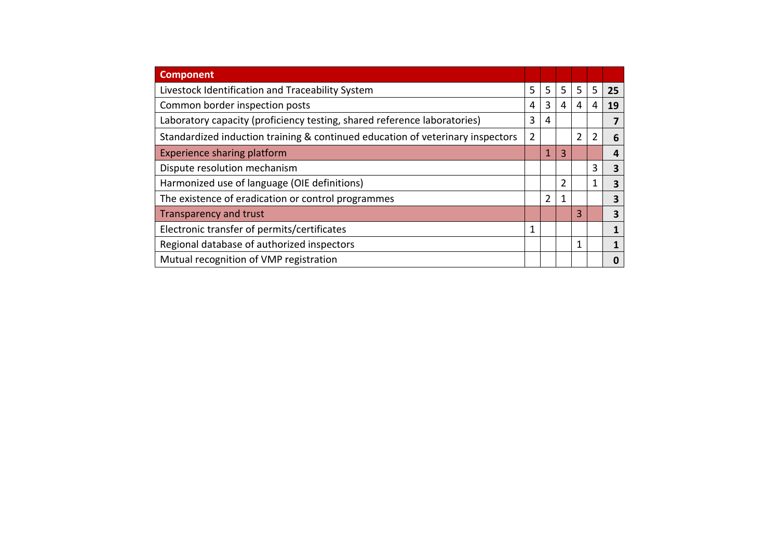| <b>Component</b>                                                               |   |               |   |   |                |    |
|--------------------------------------------------------------------------------|---|---------------|---|---|----------------|----|
| Livestock Identification and Traceability System                               |   | 5             | 5 | 5 | 5              | 25 |
| Common border inspection posts                                                 |   | 3             | 4 | 4 | 4              | 19 |
| Laboratory capacity (proficiency testing, shared reference laboratories)       |   | 4             |   |   |                |    |
| Standardized induction training & continued education of veterinary inspectors | 2 |               |   | 2 | $\overline{2}$ | 6  |
| <b>Experience sharing platform</b>                                             |   | 1             | 3 |   |                | 4  |
| Dispute resolution mechanism                                                   |   |               |   |   | 3              | 3  |
| Harmonized use of language (OIE definitions)                                   |   |               | 2 |   | 1              | 3  |
| The existence of eradication or control programmes                             |   | $\mathcal{P}$ | 1 |   |                | 3  |
| Transparency and trust                                                         |   |               |   | 3 |                | 3  |
| Electronic transfer of permits/certificates                                    | 1 |               |   |   |                |    |
| Regional database of authorized inspectors                                     |   |               |   | 1 |                |    |
| Mutual recognition of VMP registration                                         |   |               |   |   |                | 0  |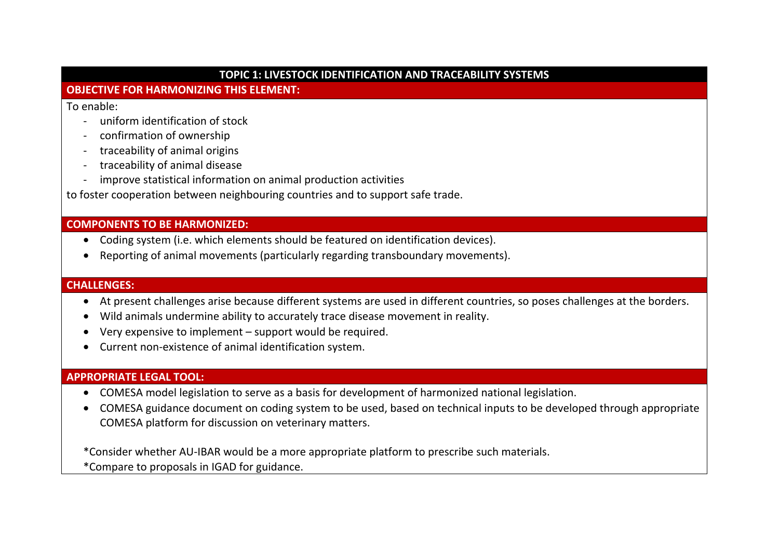#### **TOPIC 1: LIVESTOCK IDENTIFICATION AND TRACEABILITY SYSTEMS**

## **OBJECTIVE FOR HARMONIZING THIS ELEMENT:**

To enable:

- uniform identification of stock
- confirmation of ownership
- traceability of animal origins
- traceability of animal disease
- improve statistical information on animal production activities

to foster cooperation between neighbouring countries and to support safe trade.

# **COMPONENTS TO BE HARMONIZED:**

- Coding system (i.e. which elements should be featured on identification devices).
- Reporting of animal movements (particularly regarding transboundary movements).

#### **CHALLENGES:**

- At present challenges arise because different systems are used in different countries, so poses challenges at the borders.
- Wild animals undermine ability to accurately trace disease movement in reality.
- •Very expensive to implement – support would be required.
- Current non-existence of animal identification system.

# **APPROPRIATE LEGAL TOOL:**

- COMESA model legislation to serve as a basis for development of harmonized national legislation.
- COMESA guidance document on coding system to be used, based on technical inputs to be developed through appropriate COMESA platform for discussion on veterinary matters.

\*Consider whether AU-IBAR would be a more appropriate platform to prescribe such materials.

\*Compare to proposals in IGAD for guidance.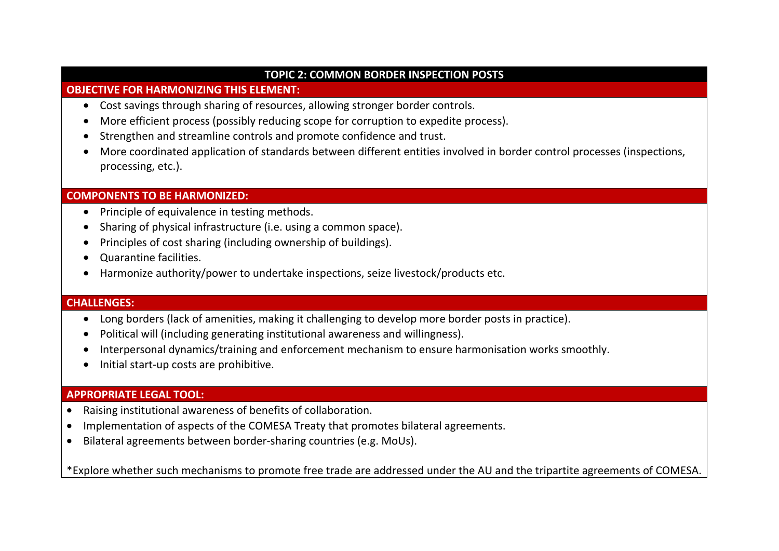#### **TOPIC 2: COMMON BORDER INSPECTION POSTS**

#### **OBJECTIVE FOR HARMONIZING THIS ELEMENT:**

- Cost savings through sharing of resources, allowing stronger border controls.
- •More efficient process (possibly reducing scope for corruption to expedite process).
- Strengthen and streamline controls and promote confidence and trust.
- More coordinated application of standards between different entities involved in border control processes (inspections, processing, etc.).

# **COMPONENTS TO BE HARMONIZED:**

- Principle of equivalence in testing methods.
- Sharing of physical infrastructure (i.e. using a common space).
- Principles of cost sharing (including ownership of buildings).
- Quarantine facilities.
- Harmonize authority/power to undertake inspections, seize livestock/products etc.

# **CHALLENGES:**

- Long borders (lack of amenities, making it challenging to develop more border posts in practice).
- •Political will (including generating institutional awareness and willingness).
- •Interpersonal dynamics/training and enforcement mechanism to ensure harmonisation works smoothly.
- Initial start-up costs are prohibitive.

# **APPROPRIATE LEGAL TOOL:**

- •Raising institutional awareness of benefits of collaboration.
- •Implementation of aspects of the COMESA Treaty that promotes bilateral agreements.
- •Bilateral agreements between border-sharing countries (e.g. MoUs).

\*Explore whether such mechanisms to promote free trade are addressed under the AU and the tripartite agreements of COMESA.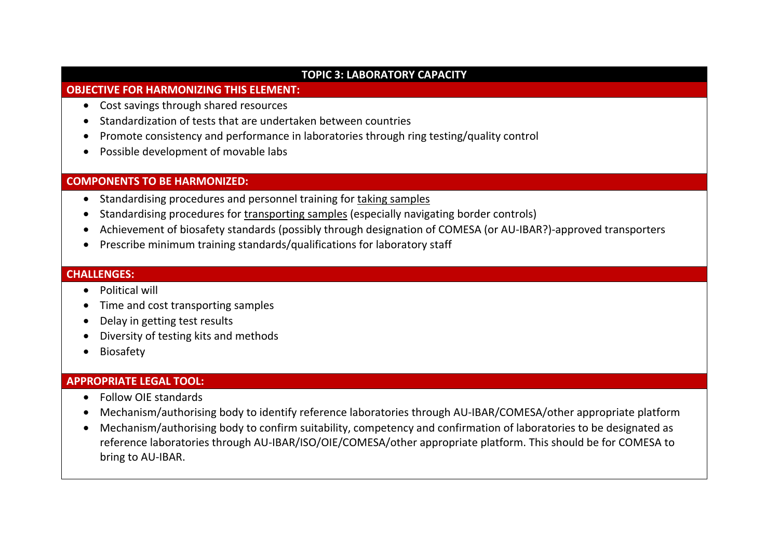#### **TOPIC 3: LABORATORY CAPACITY**

#### **OBJECTIVE FOR HARMONIZING THIS ELEMENT:**

- Cost savings through shared resources
- Standardization of tests that are undertaken between countries
- Promote consistency and performance in laboratories through ring testing/quality control
- Possible development of movable labs

# **COMPONENTS TO BE HARMONIZED:**

- Standardising procedures and personnel training for taking samples
- •Standardising procedures for transporting samples (especially navigating border controls)
- •Achievement of biosafety standards (possibly through designation of COMESA (or AU-IBAR?)-approved transporters
- Prescribe minimum training standards/qualifications for laboratory staff

#### **CHALLENGES:**

- Political will
- Time and cost transporting samples
- Delay in getting test results
- Diversity of testing kits and methods
- Biosafety

# **APPROPRIATE LEGAL TOOL:**

- Follow OIE standards
- Mechanism/authorising body to identify reference laboratories through AU-IBAR/COMESA/other appropriate platform
- Mechanism/authorising body to confirm suitability, competency and confirmation of laboratories to be designated as reference laboratories through AU-IBAR/ISO/OIE/COMESA/other appropriate platform. This should be for COMESA to bring to AU-IBAR.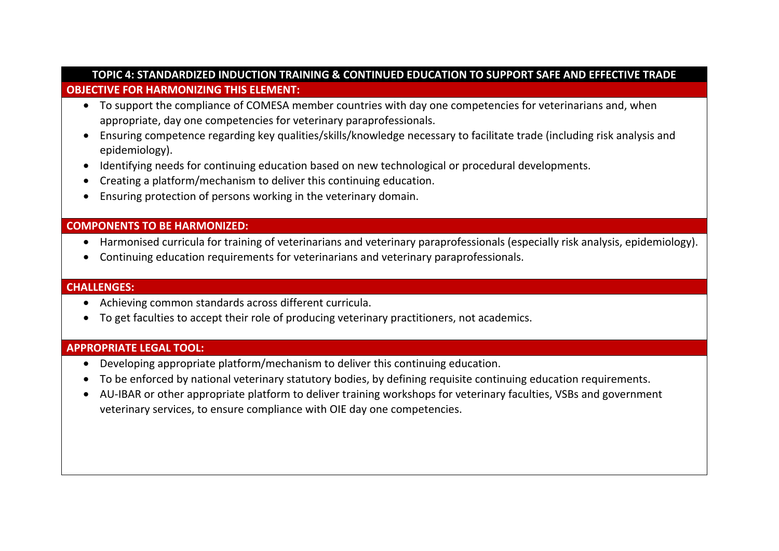## **TOPIC 4: STANDARDIZED INDUCTION TRAINING & CONTINUED EDUCATION TO SUPPORT SAFE AND EFFECTIVE TRADE OBJECTIVE FOR HARMONIZING THIS ELEMENT:**

- To support the compliance of COMESA member countries with day one competencies for veterinarians and, when appropriate, day one competencies for veterinary paraprofessionals.
- Ensuring competence regarding key qualities/skills/knowledge necessary to facilitate trade (including risk analysis and epidemiology).
- Identifying needs for continuing education based on new technological or procedural developments.
- Creating a platform/mechanism to deliver this continuing education.
- Ensuring protection of persons working in the veterinary domain.

# **COMPONENTS TO BE HARMONIZED:**

- Harmonised curricula for training of veterinarians and veterinary paraprofessionals (especially risk analysis, epidemiology).
- Continuing education requirements for veterinarians and veterinary paraprofessionals.

#### **CHALLENGES:**

- Achieving common standards across different curricula.
- To get faculties to accept their role of producing veterinary practitioners, not academics.

#### **APPROPRIATE LEGAL TOOL:**

- Developing appropriate platform/mechanism to deliver this continuing education.
- To be enforced by national veterinary statutory bodies, by defining requisite continuing education requirements.
- AU-IBAR or other appropriate platform to deliver training workshops for veterinary faculties, VSBs and government veterinary services, to ensure compliance with OIE day one competencies.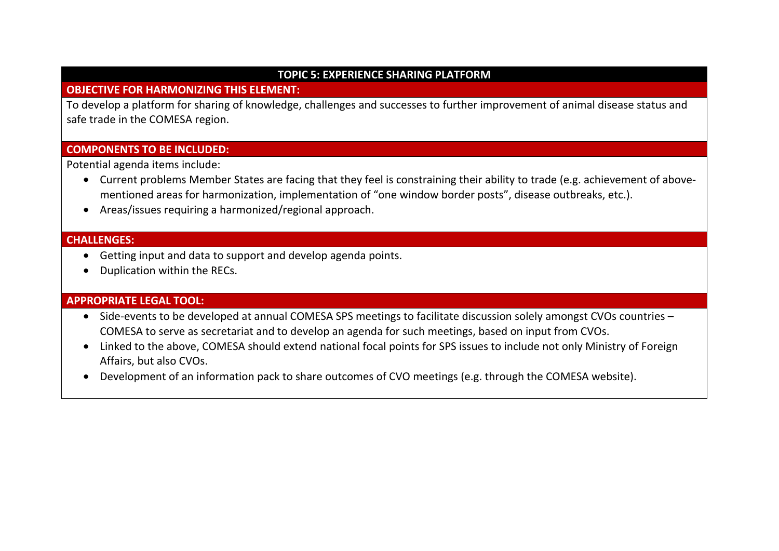#### **TOPIC 5: EXPERIENCE SHARING PLATFORM**

## **OBJECTIVE FOR HARMONIZING THIS ELEMENT:**

To develop a platform for sharing of knowledge, challenges and successes to further improvement of animal disease status and safe trade in the COMESA region.

# **COMPONENTS TO BE INCLUDED:**

Potential agenda items include:

- Current problems Member States are facing that they feel is constraining their ability to trade (e.g. achievement of abovementioned areas for harmonization, implementation of "one window border posts", disease outbreaks, etc.).
- Areas/issues requiring a harmonized/regional approach.

#### **CHALLENGES:**

- Getting input and data to support and develop agenda points.
- Duplication within the RECs.

# **APPROPRIATE LEGAL TOOL:**

- Side-events to be developed at annual COMESA SPS meetings to facilitate discussion solely amongst CVOs countries COMESA to serve as secretariat and to develop an agenda for such meetings, based on input from CVOs.
- Linked to the above, COMESA should extend national focal points for SPS issues to include not only Ministry of Foreign Affairs, but also CVOs.
- $\bullet$ Development of an information pack to share outcomes of CVO meetings (e.g. through the COMESA website).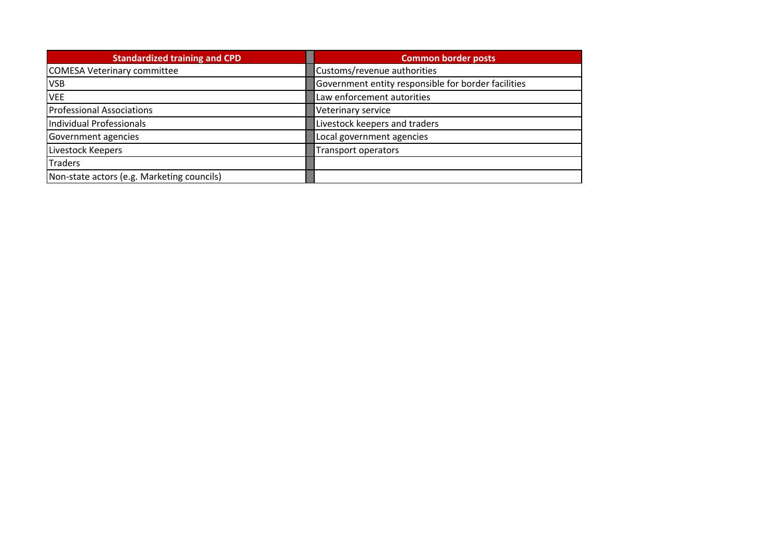| <b>Standardized training and CPD</b>       | <b>Common border posts</b>                          |
|--------------------------------------------|-----------------------------------------------------|
| COMESA Veterinary committee                | Customs/revenue authorities                         |
| <b>VSB</b>                                 | Government entity responsible for border facilities |
| <b>VEE</b>                                 | Law enforcement autorities                          |
| <b>Professional Associations</b>           | Veterinary service                                  |
| Individual Professionals                   | Livestock keepers and traders                       |
| Government agencies                        | Local government agencies                           |
| Livestock Keepers                          | Transport operators                                 |
| <b>Traders</b>                             |                                                     |
| Non-state actors (e.g. Marketing councils) |                                                     |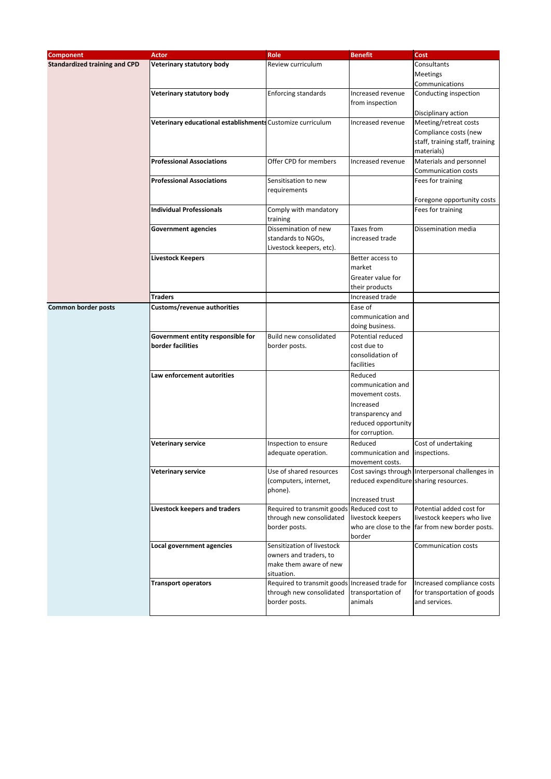| <b>Component</b>                     | <b>Actor</b>                                               | <b>Role</b>                                    | <b>Benefit</b>                         | Cost                                             |
|--------------------------------------|------------------------------------------------------------|------------------------------------------------|----------------------------------------|--------------------------------------------------|
| <b>Standardized training and CPD</b> | Veterinary statutory body                                  | Review curriculum                              |                                        | Consultants                                      |
|                                      |                                                            |                                                |                                        | Meetings                                         |
|                                      |                                                            |                                                |                                        | Communications                                   |
|                                      |                                                            |                                                |                                        |                                                  |
|                                      | Veterinary statutory body                                  | <b>Enforcing standards</b>                     | Increased revenue                      | Conducting inspection                            |
|                                      |                                                            |                                                | from inspection                        |                                                  |
|                                      |                                                            |                                                |                                        | Disciplinary action                              |
|                                      | Veterinary educational establishments Customize curriculum |                                                | Increased revenue                      | Meeting/retreat costs                            |
|                                      |                                                            |                                                |                                        | Compliance costs (new                            |
|                                      |                                                            |                                                |                                        | staff, training staff, training                  |
|                                      |                                                            |                                                |                                        | materials)                                       |
|                                      | <b>Professional Associations</b>                           | Offer CPD for members                          | Increased revenue                      | Materials and personnel                          |
|                                      |                                                            |                                                |                                        | Communication costs                              |
|                                      | <b>Professional Associations</b>                           | Sensitisation to new                           |                                        | Fees for training                                |
|                                      |                                                            | requirements                                   |                                        |                                                  |
|                                      |                                                            |                                                |                                        | Foregone opportunity costs                       |
|                                      | <b>Individual Professionals</b>                            | Comply with mandatory                          |                                        | Fees for training                                |
|                                      |                                                            | training                                       |                                        |                                                  |
|                                      | <b>Government agencies</b>                                 | Dissemination of new                           | Taxes from                             | Dissemination media                              |
|                                      |                                                            | standards to NGOs,                             | increased trade                        |                                                  |
|                                      |                                                            | Livestock keepers, etc).                       |                                        |                                                  |
|                                      |                                                            |                                                | Better access to                       |                                                  |
|                                      | Livestock Keepers                                          |                                                | market                                 |                                                  |
|                                      |                                                            |                                                |                                        |                                                  |
|                                      |                                                            |                                                | Greater value for                      |                                                  |
|                                      |                                                            |                                                | their products                         |                                                  |
|                                      | Traders                                                    |                                                | Increased trade                        |                                                  |
| Common border posts                  | Customs/revenue authorities                                |                                                | Ease of                                |                                                  |
|                                      |                                                            |                                                | communication and                      |                                                  |
|                                      |                                                            |                                                | doing business.                        |                                                  |
|                                      | Government entity responsible for                          | Build new consolidated                         | Potential reduced                      |                                                  |
|                                      | border facilities                                          | border posts.                                  | cost due to                            |                                                  |
|                                      |                                                            |                                                | consolidation of                       |                                                  |
|                                      |                                                            |                                                | facilities                             |                                                  |
|                                      | Law enforcement autorities                                 |                                                | Reduced                                |                                                  |
|                                      |                                                            |                                                | communication and                      |                                                  |
|                                      |                                                            |                                                | movement costs.                        |                                                  |
|                                      |                                                            |                                                | Increased                              |                                                  |
|                                      |                                                            |                                                | transparency and                       |                                                  |
|                                      |                                                            |                                                | reduced opportunity                    |                                                  |
|                                      |                                                            |                                                | for corruption.                        |                                                  |
|                                      | <b>Veterinary service</b>                                  | Inspection to ensure                           | Reduced                                | Cost of undertaking                              |
|                                      |                                                            |                                                | communication and                      | inspections.                                     |
|                                      |                                                            | adequate operation.                            | movement costs                         |                                                  |
|                                      | <b>Veterinary service</b>                                  | Use of shared resources                        |                                        | Cost savings through Interpersonal challenges in |
|                                      |                                                            |                                                | reduced expenditure sharing resources. |                                                  |
|                                      |                                                            | (computers, internet,<br>phone).               |                                        |                                                  |
|                                      |                                                            |                                                |                                        |                                                  |
|                                      | Livestock keepers and traders                              | Required to transmit goods Reduced cost to     | Increased trust                        | Potential added cost for                         |
|                                      |                                                            | through new consolidated                       |                                        | livestock keepers who live                       |
|                                      |                                                            |                                                | livestock keepers                      |                                                  |
|                                      |                                                            | border posts.                                  | who are close to the                   | far from new border posts.                       |
|                                      |                                                            | Sensitization of livestock                     | border                                 |                                                  |
|                                      | Local government agencies                                  |                                                |                                        | Communication costs                              |
|                                      |                                                            | owners and traders, to                         |                                        |                                                  |
|                                      |                                                            | make them aware of new                         |                                        |                                                  |
|                                      |                                                            | situation.                                     |                                        |                                                  |
|                                      | <b>Transport operators</b>                                 | Required to transmit goods Increased trade for |                                        | Increased compliance costs                       |
|                                      |                                                            | through new consolidated                       | transportation of                      | for transportation of goods                      |
|                                      |                                                            | border posts.                                  | animals                                | and services.                                    |
|                                      |                                                            |                                                |                                        |                                                  |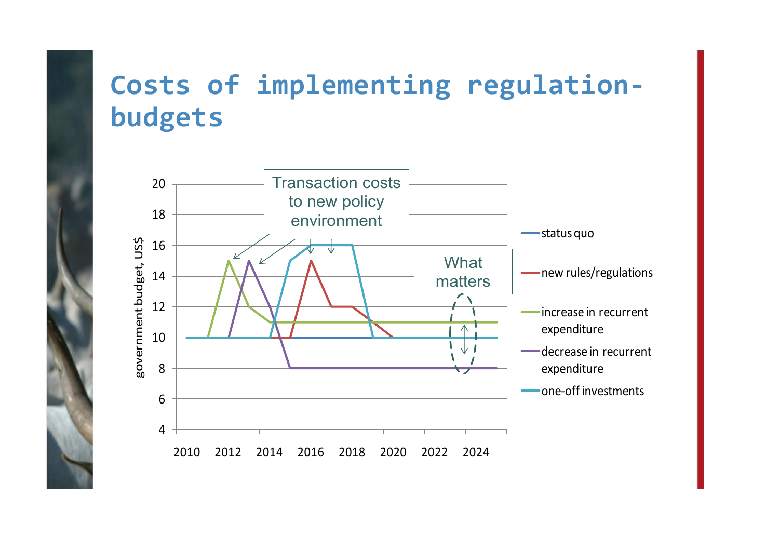# **Costs of implementing regulationbudgets**

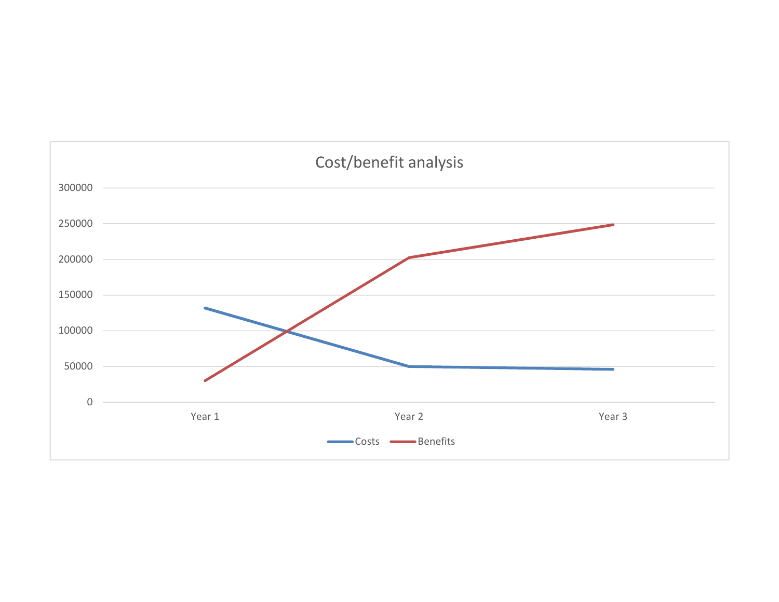